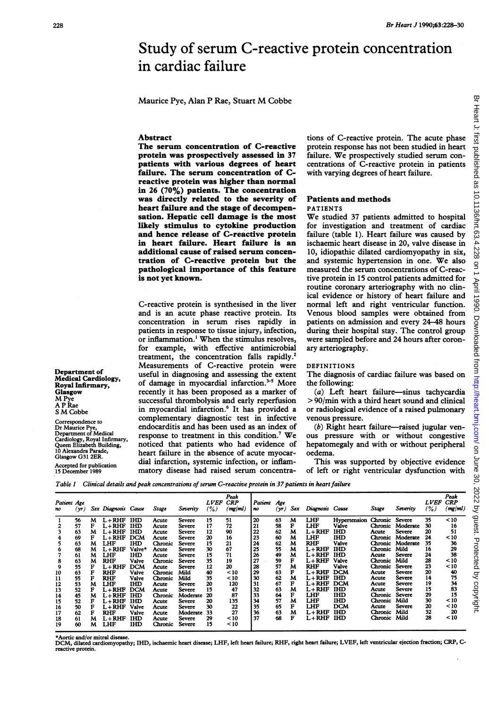# Study of serum C-reactive protein concentration in cardiac failure

Maurice Pye, Alan <sup>P</sup> Rae, Stuart M Cobbe

#### Abstract

The serum concentration of C-reactive protein was prospectively assessed in 37 patients with various degrees of heart failure. The serum concentration of Creactive protein was higher than normal in 26  $(70\%)$  patients. The concentration was directly related to the severity of heart failure and the stage of decompensation. Hepatic cell damage is the most likely stimulus to cytokine production and hence release of C-reactive protein in heart failure. Heart failure is an additional cause of raised serum concentration of C-reactive protein but the pathological importance of this feature is not yet known.

C-reactive protein is synthesised in the liver and is an acute phase reactive protein. Its concentration in serum rises rapidly in patients in response to tissue injury, infection, or inflammation.' When the stimulus resolves, for example, with effective antimicrobial treatment, the concentration falls rapidly.<sup>2</sup> Measurements of C-reactive protein were useful in diagnosing and assessing the extent of damage in myocardial infarction. $3-5$  More recently it has been proposed as a marker of successful thrombolysis and early reperfusion in myocardial infarction.<sup>6</sup> It has provided a complementary diagnostic test in infective endocarditis and has been used as an index of response to treatment in this condition.<sup>7</sup> We noticed that patients who had evidence of heart failure in the absence of acute myocardial infarction, systemic infection, or inflammatory disease had raised serum concentrations of C-reactive protein. The acute phase protein response has not been studied in heart failure. We prospectively studied serum concentrations of C-reactive protein in patients with varying degrees of heart failure.

#### Patients and methods PATIENTS

We studied <sup>37</sup> patients admitted to hospital for investigation and treatment of cardiac failure (table 1). Heart failure was caused by ischaemic heart disease in 20, valve disease in 10, idiopathic dilated cardiomyopathy in six, and systemic hypertension in one. We also measured the serum concentrations of C-reactive protein in 15 control patients admitted for routine coronary arteriography with no clinical evidence or history of heart failure and normal left and right ventricular function. Venous blood samples were obtained from patients on admission and every 24-48 hours during their hospital stay. The control group were sampled before and 24 hours after coronary arteriography.

## DEFINITIONS

The diagnosis of cardiac failure was based on the following:

(a) Left heart failure-sinus tachycardia > 90/min with a third heart sound and clinical or radiological evidence of a raised pulmonary venous pressure.

 $(b)$  Right heart failure-raised jugular venous pressure with or without congestive hepatomegaly and with or without peripheral oedema.

This was supported by objective evidence of left or right ventricular dysfunction with

Table 1 Clinical details and peak concentrations of serum C-reactive protein in 37 patients in heart failure

| Patient Age<br>no | (yr) |   | Sex Diagnosis Cause |            | Stage   | Severity | <b>LVEF</b><br>(%) | Peak<br><b>CRP</b><br>(mg/ml) | Patient<br>n <sub>0</sub> | Age<br>yr) | Sex | Diagnosis Cause |              | Stage   | Severity      | <b>LVEF</b><br>(%) | Peak<br><b>CRP</b><br>(mg/ml) |
|-------------------|------|---|---------------------|------------|---------|----------|--------------------|-------------------------------|---------------------------|------------|-----|-----------------|--------------|---------|---------------|--------------------|-------------------------------|
|                   | 56   | м | $L + RHF$           | <b>IHD</b> | Acute   | Severe   | 15                 | 51                            | 20                        | 63         | M   | <b>LHF</b>      | Hypertension | Chronic | Severe        | 35                 | $10$                          |
|                   | 57   |   | L+RHF               | <b>IHD</b> | Acute   | Severe   | 17                 | 72                            | 21                        | 58         | F   | LHF             | Valve        | Chronic | Moderate      | 30                 | 16                            |
|                   | 63   | м | $L + RHF$           | <b>IHD</b> | Acute   | Severe   | 12                 | 90                            | 22                        | 62         | м   | $L+RHF$         | IHD          | Acute   | Severe        | 20                 | 51                            |
|                   | 69   |   | $L + RHF$           | <b>DCM</b> | Acute   | Severe   | 20                 | 16                            | 23                        | 60         | M   | LHF             | <b>IHD</b>   | Chronic | Moderate      | 24                 | <10                           |
|                   | 63   | м | LHF                 | <b>IHD</b> | Chronic | Severe   | 15                 | 21                            | 24                        | 62         | M   | RHF             | Valve        | Chronic | Moderate      | 35                 | 36                            |
|                   | 68   | M | $L + RHF$           | Valve*     | Acute   | Severe   | 30                 | 67                            | 25                        | 55         | M   | $L + RHF$       | IHD          | Chronic | Mild          | 16                 | 29                            |
|                   | 61   | м | LHF                 | IHD        | Acute   | Severe   | 15                 | 71                            | 26                        | 49         | м   | $L+RHF$         | IHD          | Acute   | <b>Severe</b> | 24                 | 38                            |
|                   | 63   | м | <b>RHF</b>          | Valve      | Chronic | Severe   | 35                 | 19                            | 27                        | 59         | F   | $L+RHF$         | Valve        | Chronic | Mild          | 28                 | ~10                           |
| 9                 | 55   |   | $L + RHF$           | <b>DCM</b> | Acute   | Severe   | 12                 | 20                            | 28                        | 57         | M   | RHF             | Valve        | Chronic | Severe        | 23                 | < 10                          |
| 10                | 63   |   | <b>RHF</b>          | Valve      | Chronic | Mild     | 40                 | $10$                          | 29                        | 63         | F   | L+RHF           | <b>DCM</b>   | Acute   | Severe        | 20                 | 40                            |
| 11                | 55   |   | <b>RHF</b>          | Valve      | Chronic | Mild     | 35                 | < 10                          | 30                        | 62         | M   | L+RHF           | IHD          | Acute   | Severe        | 14                 | 75                            |
| 12                | 53   | м | LHF                 | IHD        | Acute   | Severe   | 20                 | 120                           | 31                        | 67         |     | L+RHF           | <b>DCM</b>   | Acute   | Severe        | 19                 | 34                            |
| 13                | 52   |   | $L + RHF$           | <b>DCM</b> | Acute   | Severe   | 15                 | 47                            | 32                        | 63         | M   | $L + RHF$       | <b>IHD</b>   | Acute   | Severe        | 15                 | 83                            |
| 14                | 45   |   | $L + RHF$           | <b>IHD</b> | Chronic | Moderate | 20                 | 87                            | 33                        | 64         | F   | LHF             | IHD          | Chronic | <b>Severe</b> | 29                 | 15                            |
| 15                | 52   |   | $L + RHF$           | <b>IHD</b> | Acute   | Severe   | 20                 | 135                           | 34                        | 57         | м   | <b>LHF</b>      | IHD          | Chronic | Mild          | 30                 | < 10                          |
| 16                | 50   |   | $L + RHF$           | Valve      | Acute   | Severe   | 30                 | 22                            | 35                        | 65         | F   | LHF             | <b>DCM</b>   | Acute   | Severe        | 20                 | < 10                          |
| 17                | 62   |   | <b>RHF</b>          | Valve      | Acute   | Moderate | 33                 | 27                            | 36                        | 63         | M   | $L+RHF$         | IHD          | Chronic | Mild          | 32                 | 20                            |
| 18                | 61   | м | L+RHF               | IHD        | Acute   | Severe   | 29                 | ≤10                           | 37                        | 68         | F   | $L + RHF$       | <b>IHD</b>   | Chronic | Mild          | 28                 | $10$                          |
| 19                | 60   | м | LHF                 | IHD        | Chronic | Severe   | 15                 | < 10                          |                           |            |     |                 |              |         |               |                    |                               |

ortic and/or mitral diseas

DCM, dilated cardiomyopathy; IHD, ischaemic heart disease; LHF, left heart failure; RHF, right heart failure; LVEF, left ventricular ejection fraction; CRP, Creactive protein.

Department of Medical Cardiology, Royal Infirmary, **Glasgow** M Pye A P Rae <sup>S</sup> M Cobbe

Correspondence to Dr Maurice Pye, Departnent of Medical Cardiology, Royal Infirmary, Queen Elizabeth Building, 10 Alexandra Parade, Glasgow G31 2ER.

Accepted for publication 15 December 1989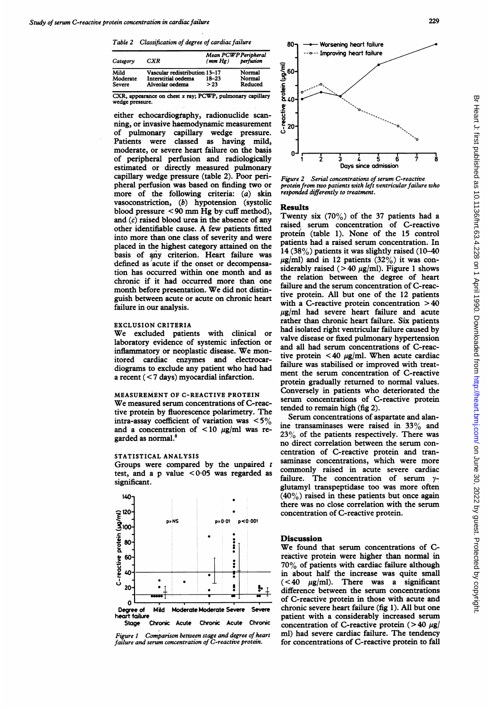Table 2 Classification of degree of cardiac failure

| Category      | CXR                           | Mean PCWP Peripheral<br>(mm Hg) | perfusion |  |  |
|---------------|-------------------------------|---------------------------------|-----------|--|--|
| Mild          | Vascular redistribution 13-17 |                                 | Normal    |  |  |
| Moderate      | Interstitial oedema           | $18 - 23$                       | Normal    |  |  |
| <b>Severe</b> | Alveolar oedema               | > 23                            | Reduced   |  |  |

CXR, appearance on chest x ray; PCWP, pulmonary capillary wedge pressure.

either echocardiography, radionuclide scanning, or invasive haemodynamic measurement of pulmonary capillary wedge pressure. Patients were classed as having mild, moderate, or severe heart failure on the basis of peripheral perfusion and radiologically estimated or directly measured pulmonary capillary wedge pressure (table 2). Poor peripheral perfusion was based on finding two or more of the following criteria: (a) skin vasoconstriction, (b) hypotension (systolic blood pressure < <sup>90</sup> mm Hg by cuff method), and (c) raised blood urea in the absence of any other identifiable cause. A few patients fitted into more than one class of severity and were placed in the highest category attained on the basis of any criterion. Heart failure was defined as 'acute if the onset or decompensation has occurred within one month and as chronic if it had occurred more than one month before presentation. We did not distinguish between acute or acute on chronic heart failure in our analysis.

#### EXCLUSION CRITERIA

We excluded patients with clinical or laboratory evidence of systemic infection or inflammatory or neoplastic disease. We monitored cardiac enzymes and electrocardiograms to exclude any patient who had had a recent (< 7 days) myocardial infarction.

## MEASUREMENT OF C-REACTIVE PROTEIN

We measured serum concentrations of C-reactive protein by fluorescence polarimetry. The intra-assay coefficient of variation was  $\langle 5\% \rangle$ and a concentration of  $\lt 10 \mu g/ml$  was regarded as normal.8

## STATISTICAL ANALYSIS

Groups were compared by the unpaired  $t$ test, and a p value  $<0.05$  was regarded as significant.







Figure 2 Serial concentrations of serum C-reactive protein from two patients with left ventricular failure who responded differently to treatment.

#### Results

Twenty six (70%) of the 37 patients had a raised serum concentration of C-reactive protein (table 1). None of the 15 control patients had a raised serum concentration. In 14 (38%) patients it was slightly raised (10-40  $\mu$ g/ml) and in 12 patients (32%) it was considerably raised ( $> 40 \mu g/ml$ ). Figure 1 shows the relation between the degree of heart failure and the serum concentration of C-reactive protein. All but one of the 12 patients with a C-reactive protein concentration  $>40$  $\mu$ g/ml had severe heart failure and acute rather than chronic heart failure. Six patients had isolated right ventricular failure caused by valve disease or fixed pulmonary hypertension and all had serum concentrations of C-reactive protein <40  $\mu$ g/ml. When acute cardiac failure was stabilised or improved with treatment the serum concentration of C-reactive protein gradually returned to normal values. Conversely in patients who deteriorated the serum concentrations of C-reactive protein tended to remain high (fig 2).

Serum concentrations of aspartate and alanine transaminases were raised in 33% and 23% of the patients respectively. There was no direct correlation between the serum concentration of C-reactive protein and transaminase concentrations, which were more commonly raised in acute severe cardiac failure. The concentration of serum  $\gamma$ glutamyl transpeptidase too was more often  $(40\%)$  raised in these patients but once again there was no close correlation with the serum concentration of C-reactive protein.

## **Discussion**

We found that serum concentrations of Creactive protein were higher than normal in 70% of patients with cardiac failure although in about half the increase was quite small  $(< 40$   $\mu$ g/ml). There was a significant difference between the serum concentrations of C-reactive protein in those with acute and chronic severe heart failure (fig 1). All but one patient with a considerably increased serum concentration of C-reactive protein  $(>40 \mu g)$ ml) had severe cardiac failure. The tendency for concentrations of C-reactive protein to fall